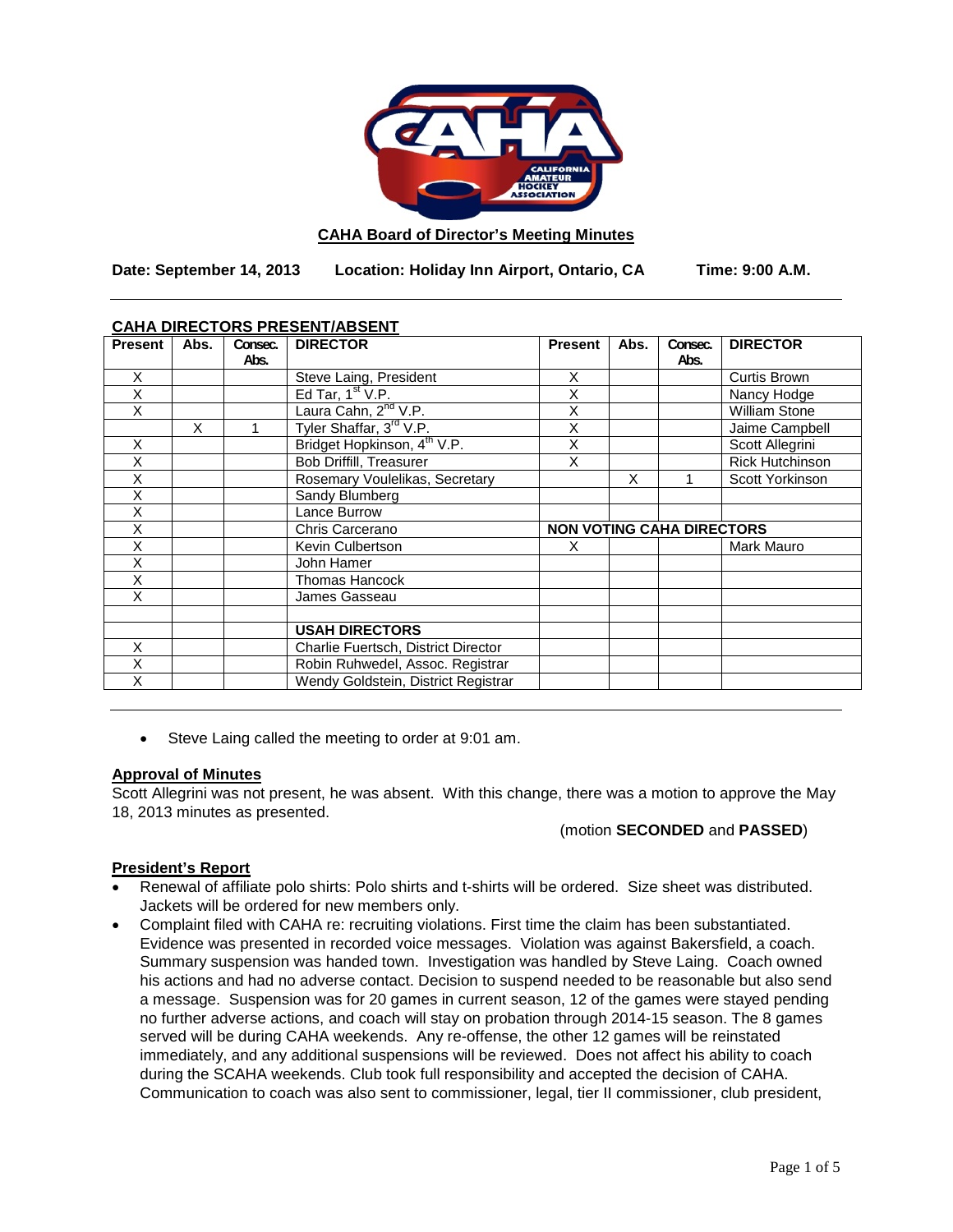

#### **CAHA Board of Director's Meeting Minutes**

**Date: September 14, 2013 Location: Holiday Inn Airport, Ontario, CA Time: 9:00 A.M.**

### **CAHA DIRECTORS PRESENT/ABSENT**

| <b>Present</b> | Abs. | Consec.<br>Abs. | <b>DIRECTOR</b>                         | <b>Present</b>                   | Abs. | Consec.<br>Abs. | <b>DIRECTOR</b>        |
|----------------|------|-----------------|-----------------------------------------|----------------------------------|------|-----------------|------------------------|
| X              |      |                 | Steve Laing, President                  | X                                |      |                 | <b>Curtis Brown</b>    |
| X              |      |                 | Ed Tar, $1st V.P.$                      | X                                |      |                 | Nancy Hodge            |
| X              |      |                 | Laura Cahn, 2 <sup>nd</sup> V.P.        | X                                |      |                 | <b>William Stone</b>   |
|                | X    |                 | Tyler Shaffar, 3 <sup>rd</sup> V.P.     | X                                |      |                 | Jaime Campbell         |
| X              |      |                 | Bridget Hopkinson, 4 <sup>th</sup> V.P. | X                                |      |                 | Scott Allegrini        |
| X              |      |                 | <b>Bob Driffill, Treasurer</b>          | X                                |      |                 | <b>Rick Hutchinson</b> |
| X              |      |                 | Rosemary Voulelikas, Secretary          |                                  | X    |                 | Scott Yorkinson        |
| X              |      |                 | Sandy Blumberg                          |                                  |      |                 |                        |
| X              |      |                 | Lance Burrow                            |                                  |      |                 |                        |
| X              |      |                 | Chris Carcerano                         | <b>NON VOTING CAHA DIRECTORS</b> |      |                 |                        |
| X              |      |                 | Kevin Culbertson                        | X                                |      |                 | Mark Mauro             |
| Χ              |      |                 | John Hamer                              |                                  |      |                 |                        |
| X              |      |                 | Thomas Hancock                          |                                  |      |                 |                        |
| X              |      |                 | James Gasseau                           |                                  |      |                 |                        |
|                |      |                 |                                         |                                  |      |                 |                        |
|                |      |                 | <b>USAH DIRECTORS</b>                   |                                  |      |                 |                        |
| X              |      |                 | Charlie Fuertsch, District Director     |                                  |      |                 |                        |
| X              |      |                 | Robin Ruhwedel, Assoc. Registrar        |                                  |      |                 |                        |
| X              |      |                 | Wendy Goldstein, District Registrar     |                                  |      |                 |                        |

• Steve Laing called the meeting to order at 9:01 am.

#### **Approval of Minutes**

Scott Allegrini was not present, he was absent. With this change, there was a motion to approve the May 18, 2013 minutes as presented.

### (motion **SECONDED** and **PASSED**)

### **President's Report**

- Renewal of affiliate polo shirts: Polo shirts and t-shirts will be ordered. Size sheet was distributed. Jackets will be ordered for new members only.
- Complaint filed with CAHA re: recruiting violations. First time the claim has been substantiated. Evidence was presented in recorded voice messages. Violation was against Bakersfield, a coach. Summary suspension was handed town. Investigation was handled by Steve Laing. Coach owned his actions and had no adverse contact. Decision to suspend needed to be reasonable but also send a message. Suspension was for 20 games in current season, 12 of the games were stayed pending no further adverse actions, and coach will stay on probation through 2014-15 season. The 8 games served will be during CAHA weekends. Any re-offense, the other 12 games will be reinstated immediately, and any additional suspensions will be reviewed. Does not affect his ability to coach during the SCAHA weekends. Club took full responsibility and accepted the decision of CAHA. Communication to coach was also sent to commissioner, legal, tier II commissioner, club president,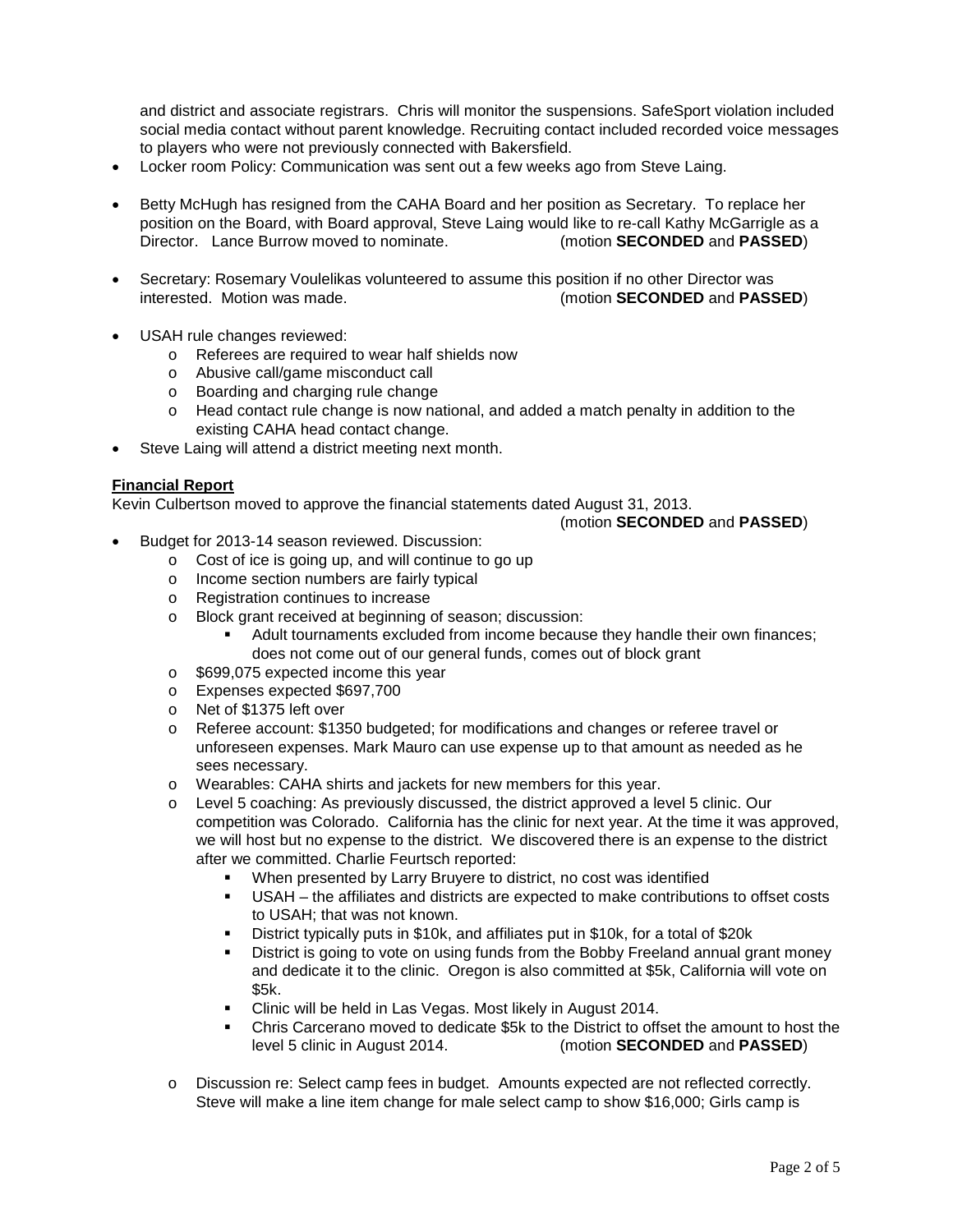and district and associate registrars. Chris will monitor the suspensions. SafeSport violation included social media contact without parent knowledge. Recruiting contact included recorded voice messages to players who were not previously connected with Bakersfield.

- Locker room Policy: Communication was sent out a few weeks ago from Steve Laing.
- Betty McHugh has resigned from the CAHA Board and her position as Secretary. To replace her position on the Board, with Board approval, Steve Laing would like to re-call Kathy McGarrigle as a Director. Lance Burrow moved to nominate. (motion **SECONDED** and **PASSED**)
- Secretary: Rosemary Voulelikas volunteered to assume this position if no other Director was interested. Motion was made. (motion **SECONDED** and **PASSED**)
- USAH rule changes reviewed:
	- o Referees are required to wear half shields now
	- o Abusive call/game misconduct call
	- o Boarding and charging rule change
	- o Head contact rule change is now national, and added a match penalty in addition to the existing CAHA head contact change.
- Steve Laing will attend a district meeting next month.

### **Financial Report**

Kevin Culbertson moved to approve the financial statements dated August 31, 2013.

#### (motion **SECONDED** and **PASSED**)

- Budget for 2013-14 season reviewed. Discussion:
	- o Cost of ice is going up, and will continue to go up
	- o Income section numbers are fairly typical
	- o Registration continues to increase
	- o Block grant received at beginning of season; discussion:
		- Adult tournaments excluded from income because they handle their own finances; does not come out of our general funds, comes out of block grant
	- o \$699,075 expected income this year
	- o Expenses expected \$697,700
	- o Net of \$1375 left over
	- o Referee account: \$1350 budgeted; for modifications and changes or referee travel or unforeseen expenses. Mark Mauro can use expense up to that amount as needed as he sees necessary.
	- o Wearables: CAHA shirts and jackets for new members for this year.
	- o Level 5 coaching: As previously discussed, the district approved a level 5 clinic. Our competition was Colorado. California has the clinic for next year. At the time it was approved, we will host but no expense to the district. We discovered there is an expense to the district after we committed. Charlie Feurtsch reported:
		- When presented by Larry Bruyere to district, no cost was identified
		- USAH the affiliates and districts are expected to make contributions to offset costs to USAH; that was not known.
		- District typically puts in \$10k, and affiliates put in \$10k, for a total of \$20k
		- District is going to vote on using funds from the Bobby Freeland annual grant money and dedicate it to the clinic. Oregon is also committed at \$5k, California will vote on \$5k.
		- Clinic will be held in Las Vegas. Most likely in August 2014.
		- Chris Carcerano moved to dedicate \$5k to the District to offset the amount to host the level 5 clinic in August 2014. (motion **SECONDED** and **PASSED**)
	- o Discussion re: Select camp fees in budget. Amounts expected are not reflected correctly. Steve will make a line item change for male select camp to show \$16,000; Girls camp is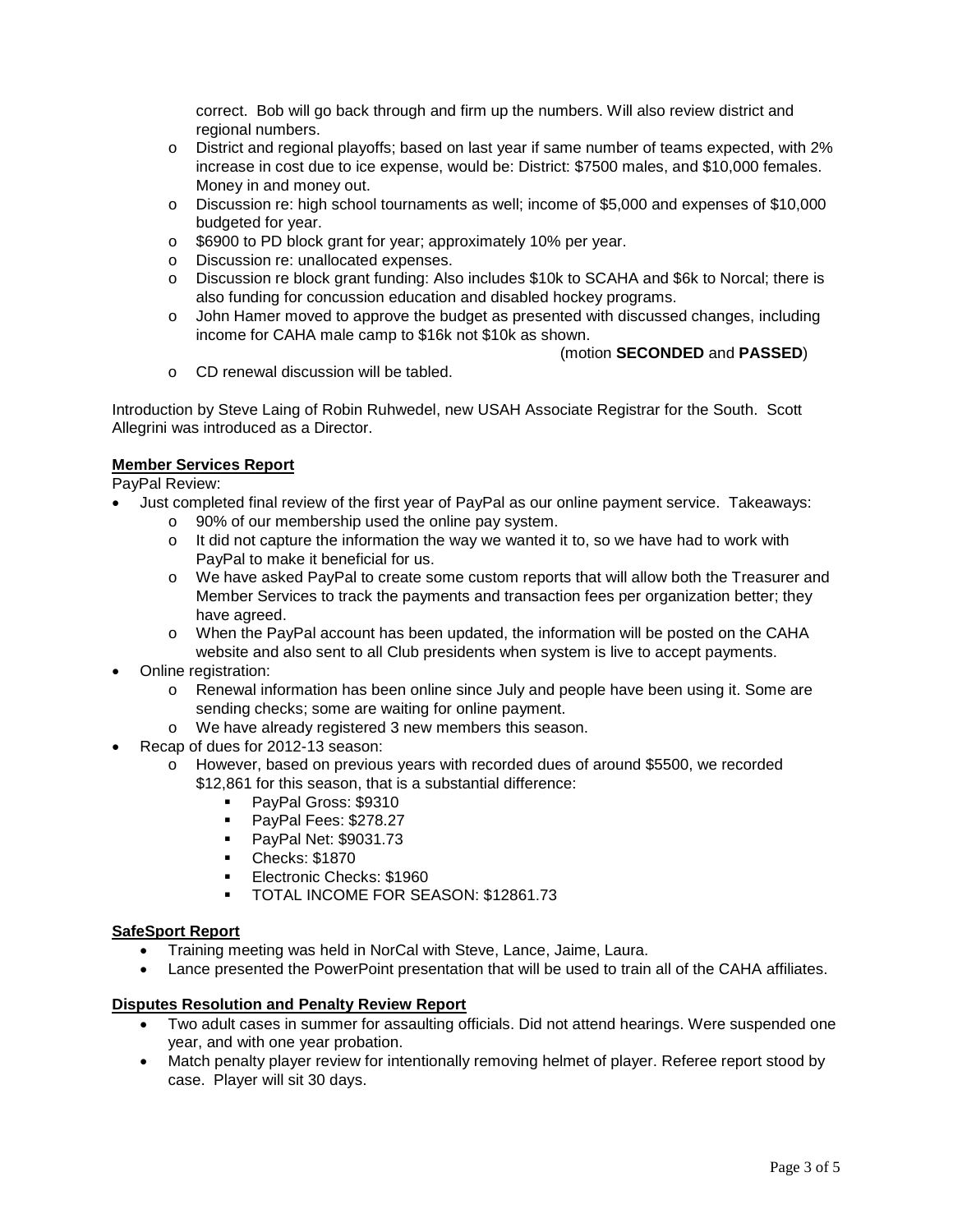correct. Bob will go back through and firm up the numbers. Will also review district and regional numbers.

- o District and regional playoffs; based on last year if same number of teams expected, with 2% increase in cost due to ice expense, would be: District: \$7500 males, and \$10,000 females. Money in and money out.
- o Discussion re: high school tournaments as well; income of \$5,000 and expenses of \$10,000 budgeted for year.
- o \$6900 to PD block grant for year; approximately 10% per year.
- o Discussion re: unallocated expenses.
- o Discussion re block grant funding: Also includes \$10k to SCAHA and \$6k to Norcal; there is also funding for concussion education and disabled hockey programs.
- o John Hamer moved to approve the budget as presented with discussed changes, including income for CAHA male camp to \$16k not \$10k as shown.
	- (motion **SECONDED** and **PASSED**)
- o CD renewal discussion will be tabled.

Introduction by Steve Laing of Robin Ruhwedel, new USAH Associate Registrar for the South. Scott Allegrini was introduced as a Director.

# **Member Services Report**

PayPal Review:

- Just completed final review of the first year of PayPal as our online payment service. Takeaways:
	- o 90% of our membership used the online pay system.
	- $\circ$  It did not capture the information the way we wanted it to, so we have had to work with PayPal to make it beneficial for us.
	- o We have asked PayPal to create some custom reports that will allow both the Treasurer and Member Services to track the payments and transaction fees per organization better; they have agreed.
	- o When the PayPal account has been updated, the information will be posted on the CAHA website and also sent to all Club presidents when system is live to accept payments.
- Online registration:
	- o Renewal information has been online since July and people have been using it. Some are sending checks; some are waiting for online payment.
	- o We have already registered 3 new members this season.
- Recap of dues for 2012-13 season:
	- o However, based on previous years with recorded dues of around \$5500, we recorded \$12,861 for this season, that is a substantial difference:
		- PayPal Gross: \$9310
		- PayPal Fees: \$278.27
		- **PayPal Net: \$9031.73**
		- Checks: \$1870
		- **Electronic Checks: \$1960**
		- **TOTAL INCOME FOR SEASON: \$12861.73**

### **SafeSport Report**

- Training meeting was held in NorCal with Steve, Lance, Jaime, Laura.
- Lance presented the PowerPoint presentation that will be used to train all of the CAHA affiliates.

# **Disputes Resolution and Penalty Review Report**

- Two adult cases in summer for assaulting officials. Did not attend hearings. Were suspended one year, and with one year probation.
- Match penalty player review for intentionally removing helmet of player. Referee report stood by case. Player will sit 30 days.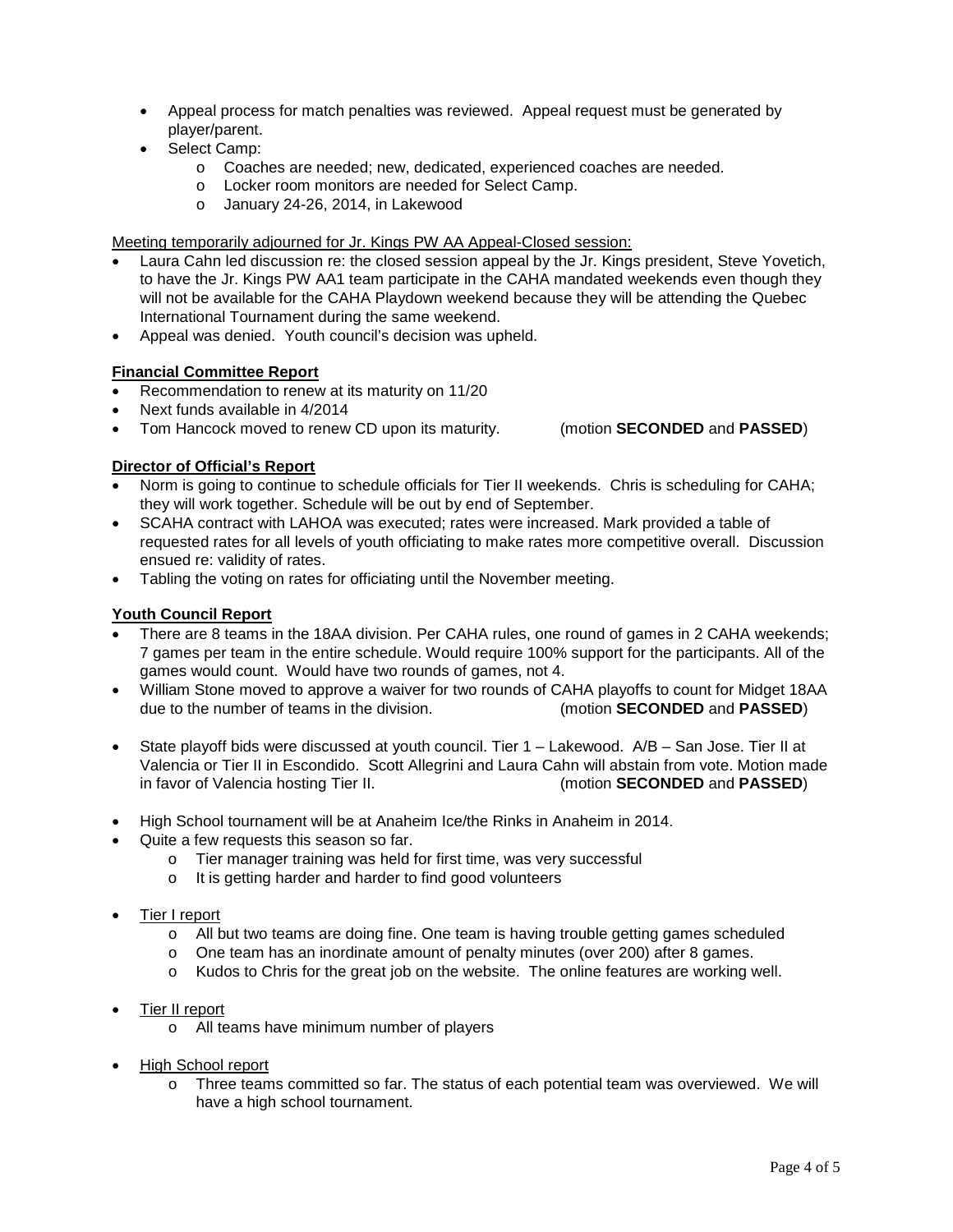- Appeal process for match penalties was reviewed. Appeal request must be generated by player/parent.
- Select Camp:
	- o Coaches are needed; new, dedicated, experienced coaches are needed.
	- o Locker room monitors are needed for Select Camp.
	- o January 24-26, 2014, in Lakewood

Meeting temporarily adjourned for Jr. Kings PW AA Appeal-Closed session:

- Laura Cahn led discussion re: the closed session appeal by the Jr. Kings president, Steve Yovetich, to have the Jr. Kings PW AA1 team participate in the CAHA mandated weekends even though they will not be available for the CAHA Playdown weekend because they will be attending the Quebec International Tournament during the same weekend.
- Appeal was denied. Youth council's decision was upheld.

# **Financial Committee Report**

- Recommendation to renew at its maturity on 11/20
- Next funds available in 4/2014
- Tom Hancock moved to renew CD upon its maturity. (motion **SECONDED** and **PASSED**)

# **Director of Official's Report**

- Norm is going to continue to schedule officials for Tier II weekends. Chris is scheduling for CAHA; they will work together. Schedule will be out by end of September.
- SCAHA contract with LAHOA was executed; rates were increased. Mark provided a table of requested rates for all levels of youth officiating to make rates more competitive overall. Discussion ensued re: validity of rates.
- Tabling the voting on rates for officiating until the November meeting.

### **Youth Council Report**

- There are 8 teams in the 18AA division. Per CAHA rules, one round of games in 2 CAHA weekends; 7 games per team in the entire schedule. Would require 100% support for the participants. All of the games would count. Would have two rounds of games, not 4.
- William Stone moved to approve a waiver for two rounds of CAHA playoffs to count for Midget 18AA due to the number of teams in the division. (motion **SECONDED** and **PASSED**)
- State playoff bids were discussed at youth council. Tier 1 Lakewood. A/B San Jose. Tier II at Valencia or Tier II in Escondido. Scott Allegrini and Laura Cahn will abstain from vote. Motion made in favor of Valencia hosting Tier II. (motion **SECONDED** and **PASSED**)
- High School tournament will be at Anaheim Ice/the Rinks in Anaheim in 2014.
- Quite a few requests this season so far.
	- o Tier manager training was held for first time, was very successful
	- o It is getting harder and harder to find good volunteers
- Tier I report
	- o All but two teams are doing fine. One team is having trouble getting games scheduled
	- o One team has an inordinate amount of penalty minutes (over 200) after 8 games.
	- o Kudos to Chris for the great job on the website. The online features are working well.
- Tier II report
	- o All teams have minimum number of players
- High School report
	- o Three teams committed so far. The status of each potential team was overviewed. We will have a high school tournament.